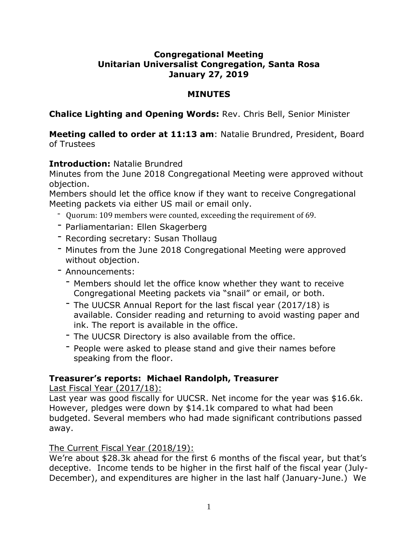## **Congregational Meeting Unitarian Universalist Congregation, Santa Rosa January 27, 2019**

## **MINUTES**

**Chalice Lighting and Opening Words:** Rev. Chris Bell, Senior Minister

## **Meeting called to order at 11:13 am**: Natalie Brundred, President, Board of Trustees

# **Introduction:** Natalie Brundred

Minutes from the June 2018 Congregational Meeting were approved without objection.

Members should let the office know if they want to receive Congregational Meeting packets via either US mail or email only.

- Quorum: 109 members were counted, exceeding the requirement of 69.
- Parliamentarian: Ellen Skagerberg
- Recording secretary: Susan Thollaug
- Minutes from the June 2018 Congregational Meeting were approved without objection.
- Announcements:
	- Members should let the office know whether they want to receive Congregational Meeting packets via "snail" or email, or both.
	- The UUCSR Annual Report for the last fiscal year (2017/18) is available. Consider reading and returning to avoid wasting paper and ink. The report is available in the office.
	- The UUCSR Directory is also available from the office.
	- People were asked to please stand and give their names before speaking from the floor.

## **Treasurer's reports: Michael Randolph, Treasurer**

Last Fiscal Year (2017/18):

Last year was good fiscally for UUCSR. Net income for the year was \$16.6k. However, pledges were down by \$14.1k compared to what had been budgeted. Several members who had made significant contributions passed away.

## The Current Fiscal Year (2018/19):

We're about \$28.3k ahead for the first 6 months of the fiscal year, but that's deceptive. Income tends to be higher in the first half of the fiscal year (July-December), and expenditures are higher in the last half (January-June.) We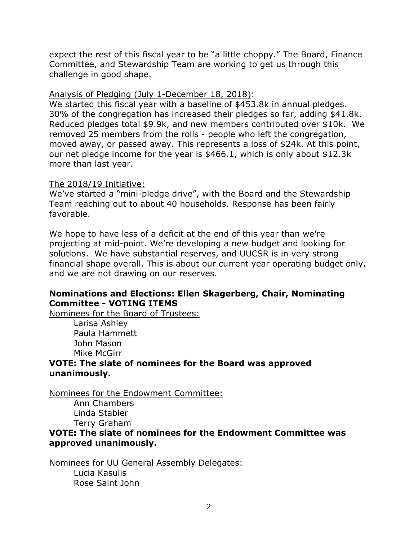expect the rest of this fiscal year to be "a little choppy." The Board, Finance Committee, and Stewardship Team are working to get us through this challenge in good shape.

#### Analysis of Pledging (July 1-December 18, 2018):

We started this fiscal year with a baseline of \$453.8k in annual pledges. 30% of the congregation has increased their pledges so far, adding \$41.8k. Reduced pledges total \$9.9k, and new members contributed over \$10k. We removed 25 members from the rolls - people who left the congregation, moved away, or passed away. This represents a loss of \$24k. At this point, our net pledge income for the year is \$466.1, which is only about \$12.3k more than last year.

#### The 2018/19 Initiative:

We've started a "mini-pledge drive", with the Board and the Stewardship Team reaching out to about 40 households. Response has been fairly favorable.

We hope to have less of a deficit at the end of this year than we're projecting at mid-point. We're developing a new budget and looking for solutions. We have substantial reserves, and UUCSR is in very strong financial shape overall. This is about our current year operating budget only, and we are not drawing on our reserves.

## **Nominations and Elections: Ellen Skagerberg, Chair, Nominating Committee - VOTING ITEMS**

Nominees for the Board of Trustees: Larisa Ashley Paula Hammett

John Mason Mike McGirr

#### **VOTE: The slate of nominees for the Board was approved unanimously.**

Nominees for the Endowment Committee:

Ann Chambers Linda Stabler Terry Graham

## **VOTE: The slate of nominees for the Endowment Committee was approved unanimously.**

Nominees for UU General Assembly Delegates:

Lucia Kasulis Rose Saint John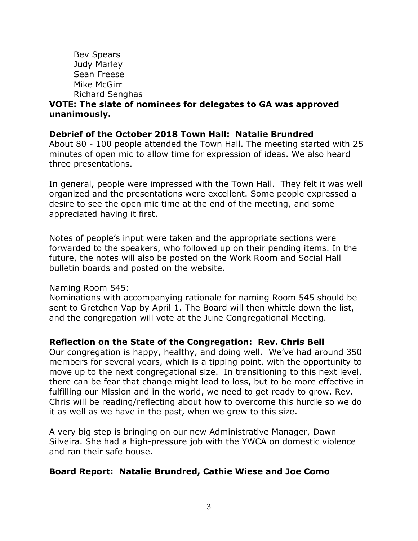Bev Spears Judy Marley Sean Freese Mike McGirr Richard Senghas **VOTE: The slate of nominees for delegates to GA was approved unanimously.**

#### **Debrief of the October 2018 Town Hall: Natalie Brundred**

About 80 - 100 people attended the Town Hall. The meeting started with 25 minutes of open mic to allow time for expression of ideas. We also heard three presentations.

In general, people were impressed with the Town Hall. They felt it was well organized and the presentations were excellent. Some people expressed a desire to see the open mic time at the end of the meeting, and some appreciated having it first.

Notes of people's input were taken and the appropriate sections were forwarded to the speakers, who followed up on their pending items. In the future, the notes will also be posted on the Work Room and Social Hall bulletin boards and posted on the website.

#### Naming Room 545:

Nominations with accompanying rationale for naming Room 545 should be sent to Gretchen Vap by April 1. The Board will then whittle down the list, and the congregation will vote at the June Congregational Meeting.

#### **Reflection on the State of the Congregation: Rev. Chris Bell**

Our congregation is happy, healthy, and doing well. We've had around 350 members for several years, which is a tipping point, with the opportunity to move up to the next congregational size. In transitioning to this next level, there can be fear that change might lead to loss, but to be more effective in fulfilling our Mission and in the world, we need to get ready to grow. Rev. Chris will be reading/reflecting about how to overcome this hurdle so we do it as well as we have in the past, when we grew to this size.

A very big step is bringing on our new Administrative Manager, Dawn Silveira. She had a high-pressure job with the YWCA on domestic violence and ran their safe house.

#### **Board Report: Natalie Brundred, Cathie Wiese and Joe Como**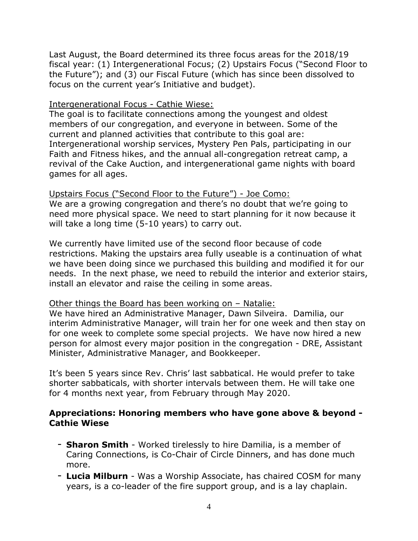Last August, the Board determined its three focus areas for the 2018/19 fiscal year: (1) Intergenerational Focus; (2) Upstairs Focus ("Second Floor to the Future"); and (3) our Fiscal Future (which has since been dissolved to focus on the current year's Initiative and budget).

#### Intergenerational Focus - Cathie Wiese:

The goal is to facilitate connections among the youngest and oldest members of our congregation, and everyone in between. Some of the current and planned activities that contribute to this goal are: Intergenerational worship services, Mystery Pen Pals, participating in our Faith and Fitness hikes, and the annual all-congregation retreat camp, a revival of the Cake Auction, and intergenerational game nights with board games for all ages.

Upstairs Focus ("Second Floor to the Future") - Joe Como: We are a growing congregation and there's no doubt that we're going to need more physical space. We need to start planning for it now because it will take a long time (5-10 years) to carry out.

We currently have limited use of the second floor because of code restrictions. Making the upstairs area fully useable is a continuation of what we have been doing since we purchased this building and modified it for our needs. In the next phase, we need to rebuild the interior and exterior stairs, install an elevator and raise the ceiling in some areas.

#### Other things the Board has been working on – Natalie:

We have hired an Administrative Manager, Dawn Silveira. Damilia, our interim Administrative Manager, will train her for one week and then stay on for one week to complete some special projects. We have now hired a new person for almost every major position in the congregation - DRE, Assistant Minister, Administrative Manager, and Bookkeeper.

It's been 5 years since Rev. Chris' last sabbatical. He would prefer to take shorter sabbaticals, with shorter intervals between them. He will take one for 4 months next year, from February through May 2020.

#### **Appreciations: Honoring members who have gone above & beyond - Cathie Wiese**

- **Sharon Smith** Worked tirelessly to hire Damilia, is a member of Caring Connections, is Co-Chair of Circle Dinners, and has done much more.
- **Lucia Milburn** Was a Worship Associate, has chaired COSM for many years, is a co-leader of the fire support group, and is a lay chaplain.